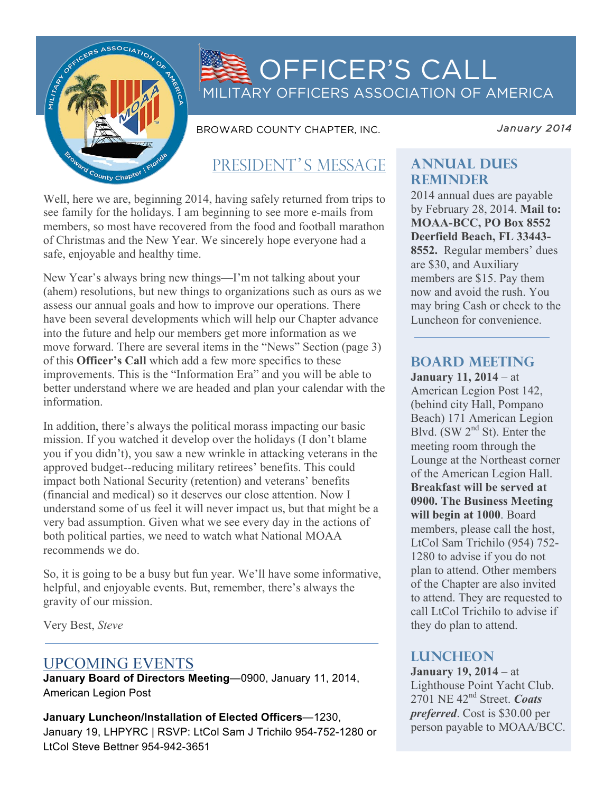

# OFFICER'S CALL MILITARY OFFICERS ASSOCIATION OF AMERICA

BROWARD COUNTY CHAPTER, INC.

*January 2014* 

## PRESIDENT'S MESSAGE

Well, here we are, beginning 2014, having safely returned from trips to see family for the holidays. I am beginning to see more e-mails from members, so most have recovered from the food and football marathon of Christmas and the New Year. We sincerely hope everyone had a safe, enjoyable and healthy time.

New Year's always bring new things—I'm not talking about your (ahem) resolutions, but new things to organizations such as ours as we assess our annual goals and how to improve our operations. There have been several developments which will help our Chapter advance into the future and help our members get more information as we move forward. There are several items in the "News" Section (page 3) of this **Officer's Call** which add a few more specifics to these improvements. This is the "Information Era" and you will be able to better understand where we are headed and plan your calendar with the information.

In addition, there's always the political morass impacting our basic mission. If you watched it develop over the holidays (I don't blame you if you didn't), you saw a new wrinkle in attacking veterans in the approved budget--reducing military retirees' benefits. This could impact both National Security (retention) and veterans' benefits (financial and medical) so it deserves our close attention. Now I understand some of us feel it will never impact us, but that might be a very bad assumption. Given what we see every day in the actions of both political parties, we need to watch what National MOAA recommends we do.

So, it is going to be a busy but fun year. We'll have some informative, helpful, and enjoyable events. But, remember, there's always the gravity of our mission.

Very Best, *Steve*

## UPCOMING EVENTS

**January Board of Directors Meeting**—0900, January 11, 2014, American Legion Post

**January Luncheon/Installation of Elected Officers**—1230, January 19, LHPYRC | RSVP: LtCol Sam J Trichilo 954-752-1280 or LtCol Steve Bettner 954-942-3651

### **Annual dues reminder**

2014 annual dues are payable by February 28, 2014. **Mail to: MOAA-BCC, PO Box 8552 Deerfield Beach, FL 33443- 8552.** Regular members' dues are \$30, and Auxiliary members are \$15. Pay them now and avoid the rush. You may bring Cash or check to the Luncheon for convenience.

### **board meeting**

**January 11, 2014** – at American Legion Post 142, (behind city Hall, Pompano Beach) 171 American Legion Blvd. (SW  $2<sup>nd</sup>$  St). Enter the meeting room through the Lounge at the Northeast corner of the American Legion Hall. **Breakfast will be served at 0900. The Business Meeting will begin at 1000**. Board members, please call the host, LtCol Sam Trichilo (954) 752- 1280 to advise if you do not plan to attend. Other members of the Chapter are also invited to attend. They are requested to call LtCol Trichilo to advise if they do plan to attend.

### **LUNCHEON**

**January 19, 2014** – at Lighthouse Point Yacht Club. 2701 NE 42nd Street. *Coats preferred*. Cost is \$30.00 per person payable to MOAA/BCC.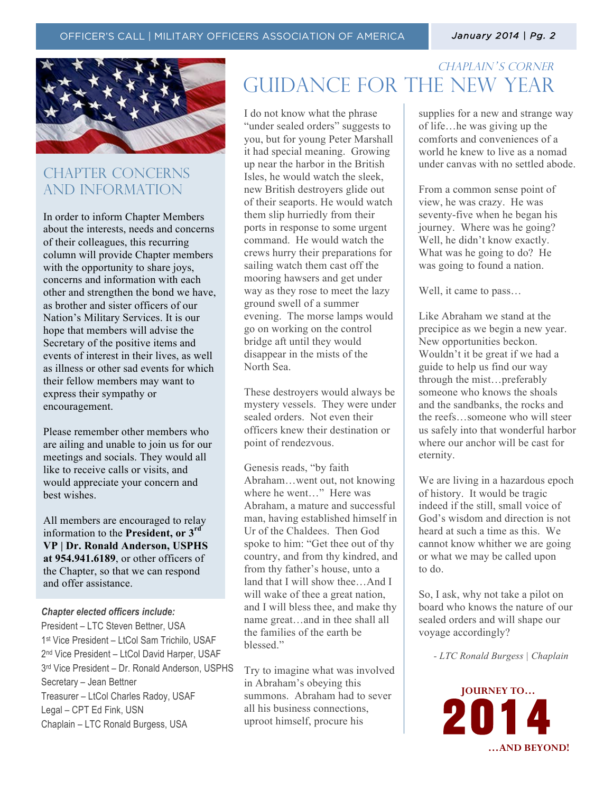*January 2014 | Pg. 2* 



### CHAPTER CONCERNs AND INFORMATION

In order to inform Chapter Members about the interests, needs and concerns of their colleagues, this recurring column will provide Chapter members with the opportunity to share joys, concerns and information with each other and strengthen the bond we have, as brother and sister officers of our Nation's Military Services. It is our hope that members will advise the Secretary of the positive items and events of interest in their lives, as well as illness or other sad events for which their fellow members may want to express their sympathy or encouragement.

Please remember other members who are ailing and unable to join us for our meetings and socials. They would all like to receive calls or visits, and would appreciate your concern and best wishes.

All members are encouraged to relay information to the **President, or 3rd VP | Dr. Ronald Anderson, USPHS at 954.941.6189**, or other officers of the Chapter, so that we can respond and offer assistance.

#### *Chapter elected officers include:*

President – LTC Steven Bettner, USA 1st Vice President – LtCol Sam Trichilo, USAF 2nd Vice President – LtCol David Harper, USAF 3rd Vice President – Dr. Ronald Anderson, USPHS Secretary – Jean Bettner Treasurer – LtCol Charles Radoy, USAF Legal – CPT Ed Fink, USN Chaplain – LTC Ronald Burgess, USA

## CHAPLAIN'S CORNER Guidance for the new year

I do not know what the phrase "under sealed orders" suggests to you, but for young Peter Marshall it had special meaning. Growing up near the harbor in the British Isles, he would watch the sleek, new British destroyers glide out of their seaports. He would watch them slip hurriedly from their ports in response to some urgent command. He would watch the crews hurry their preparations for sailing watch them cast off the mooring hawsers and get under way as they rose to meet the lazy ground swell of a summer evening. The morse lamps would go on working on the control bridge aft until they would disappear in the mists of the North Sea.

These destroyers would always be mystery vessels. They were under sealed orders. Not even their officers knew their destination or point of rendezvous.

Genesis reads, "by faith Abraham…went out, not knowing where he went…" Here was Abraham, a mature and successful man, having established himself in Ur of the Chaldees. Then God spoke to him: "Get thee out of thy country, and from thy kindred, and from thy father's house, unto a land that I will show thee…And I will wake of thee a great nation, and I will bless thee, and make thy name great…and in thee shall all the families of the earth be blessed<sup>"</sup>

Try to imagine what was involved in Abraham's obeying this summons. Abraham had to sever all his business connections, uproot himself, procure his

supplies for a new and strange way of life…he was giving up the comforts and conveniences of a world he knew to live as a nomad under canvas with no settled abode.

From a common sense point of view, he was crazy. He was seventy-five when he began his journey. Where was he going? Well, he didn't know exactly. What was he going to do? He was going to found a nation.

Well, it came to pass…

Like Abraham we stand at the precipice as we begin a new year. New opportunities beckon. Wouldn't it be great if we had a guide to help us find our way through the mist…preferably someone who knows the shoals and the sandbanks, the rocks and the reefs…someone who will steer us safely into that wonderful harbor where our anchor will be cast for eternity.

We are living in a hazardous epoch of history. It would be tragic indeed if the still, small voice of God's wisdom and direction is not heard at such a time as this. We cannot know whither we are going or what we may be called upon to do.

So, I ask, why not take a pilot on board who knows the nature of our sealed orders and will shape our voyage accordingly?

 *- LTC Ronald Burgess | Chaplain*

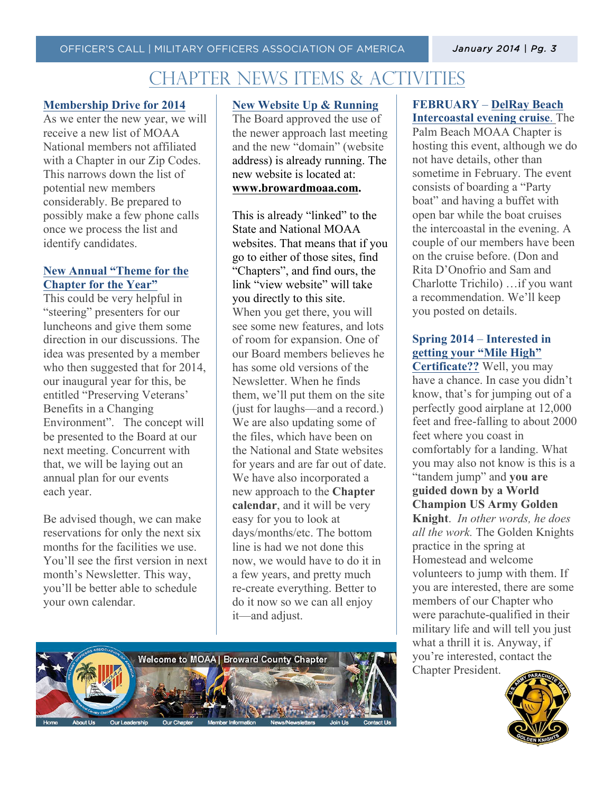## Chapter news items & activities

#### **Membership Drive for 2014**

As we enter the new year, we will receive a new list of MOAA National members not affiliated with a Chapter in our Zip Codes. This narrows down the list of potential new members considerably. Be prepared to possibly make a few phone calls once we process the list and identify candidates.

### **New Annual "Theme for the Chapter for the Year"**

This could be very helpful in "steering" presenters for our luncheons and give them some direction in our discussions. The idea was presented by a member who then suggested that for 2014, our inaugural year for this, be entitled "Preserving Veterans' Benefits in a Changing Environment". The concept will be presented to the Board at our next meeting. Concurrent with that, we will be laying out an annual plan for our events each year.

Be advised though, we can make reservations for only the next six months for the facilities we use. You'll see the first version in next month's Newsletter. This way, you'll be better able to schedule your own calendar.

#### **New Website Up & Running**

The Board approved the use of the newer approach last meeting and the new "domain" (website address) is already running. The new website is located at: **www.browardmoaa.com.**

This is already "linked" to the State and National MOAA websites. That means that if you go to either of those sites, find "Chapters", and find ours, the link "view website" will take you directly to this site. When you get there, you will see some new features, and lots of room for expansion. One of our Board members believes he has some old versions of the Newsletter. When he finds them, we'll put them on the site (just for laughs—and a record.) We are also updating some of the files, which have been on the National and State websites for years and are far out of date. We have also incorporated a new approach to the **Chapter calendar**, and it will be very easy for you to look at days/months/etc. The bottom line is had we not done this now, we would have to do it in a few years, and pretty much re-create everything. Better to do it now so we can all enjoy it—and adjust.



#### **FEBRUARY** – **DelRay Beach Intercoastal evening cruise**. The

Palm Beach MOAA Chapter is hosting this event, although we do not have details, other than sometime in February. The event consists of boarding a "Party boat" and having a buffet with open bar while the boat cruises the intercoastal in the evening. A couple of our members have been on the cruise before. (Don and Rita D'Onofrio and Sam and Charlotte Trichilo) …if you want a recommendation. We'll keep you posted on details.

### **Spring 2014** – **Interested in getting your "Mile High"**

**Certificate??** Well, you may have a chance. In case you didn't know, that's for jumping out of a perfectly good airplane at 12,000 feet and free-falling to about 2000 feet where you coast in comfortably for a landing. What you may also not know is this is a "tandem jump" and **you are guided down by a World Champion US Army Golden Knight**. *In other words, he does all the work.* The Golden Knights practice in the spring at Homestead and welcome volunteers to jump with them. If you are interested, there are some members of our Chapter who were parachute-qualified in their military life and will tell you just what a thrill it is. Anyway, if you're interested, contact the Chapter President.